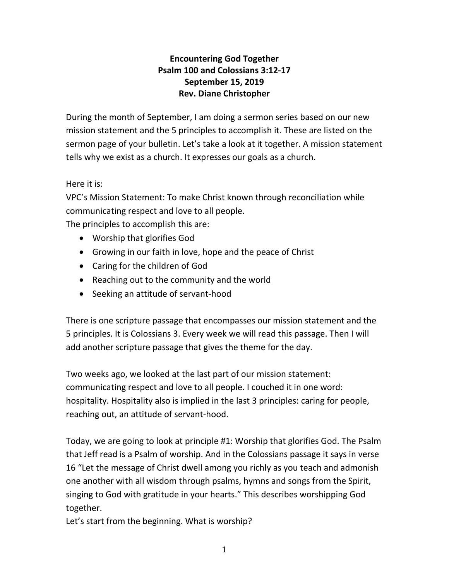## **Encountering God Together Psalm 100 and Colossians 3:12-17 September 15, 2019 Rev. Diane Christopher**

During the month of September, I am doing a sermon series based on our new mission statement and the 5 principles to accomplish it. These are listed on the sermon page of your bulletin. Let's take a look at it together. A mission statement tells why we exist as a church. It expresses our goals as a church.

Here it is:

VPC's Mission Statement: To make Christ known through reconciliation while communicating respect and love to all people.

The principles to accomplish this are:

- Worship that glorifies God
- Growing in our faith in love, hope and the peace of Christ
- Caring for the children of God
- Reaching out to the community and the world
- Seeking an attitude of servant-hood

There is one scripture passage that encompasses our mission statement and the 5 principles. It is Colossians 3. Every week we will read this passage. Then I will add another scripture passage that gives the theme for the day.

Two weeks ago, we looked at the last part of our mission statement: communicating respect and love to all people. I couched it in one word: hospitality. Hospitality also is implied in the last 3 principles: caring for people, reaching out, an attitude of servant-hood.

Today, we are going to look at principle #1: Worship that glorifies God. The Psalm that Jeff read is a Psalm of worship. And in the Colossians passage it says in verse 16 "Let the message of Christ dwell among you richly as you teach and admonish one another with all wisdom through psalms, hymns and songs from the Spirit, singing to God with gratitude in your hearts." This describes worshipping God together.

Let's start from the beginning. What is worship?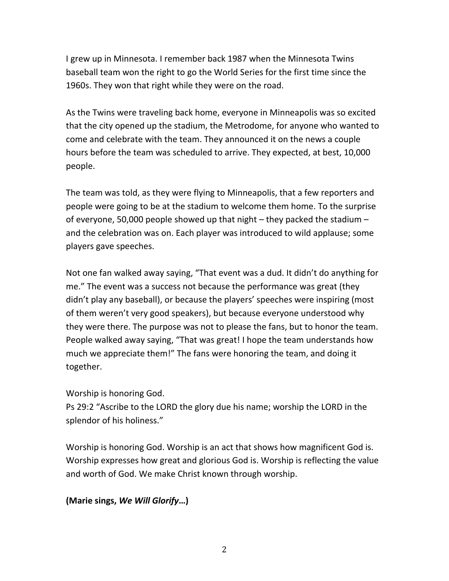I grew up in Minnesota. I remember back 1987 when the Minnesota Twins baseball team won the right to go the World Series for the first time since the 1960s. They won that right while they were on the road.

As the Twins were traveling back home, everyone in Minneapolis was so excited that the city opened up the stadium, the Metrodome, for anyone who wanted to come and celebrate with the team. They announced it on the news a couple hours before the team was scheduled to arrive. They expected, at best, 10,000 people.

The team was told, as they were flying to Minneapolis, that a few reporters and people were going to be at the stadium to welcome them home. To the surprise of everyone, 50,000 people showed up that night – they packed the stadium – and the celebration was on. Each player was introduced to wild applause; some players gave speeches.

Not one fan walked away saying, "That event was a dud. It didn't do anything for me." The event was a success not because the performance was great (they didn't play any baseball), or because the players' speeches were inspiring (most of them weren't very good speakers), but because everyone understood why they were there. The purpose was not to please the fans, but to honor the team. People walked away saying, "That was great! I hope the team understands how much we appreciate them!" The fans were honoring the team, and doing it together.

Worship is honoring God.

Ps 29:2 "Ascribe to the LORD the glory due his name; worship the LORD in the splendor of his holiness."

Worship is honoring God. Worship is an act that shows how magnificent God is. Worship expresses how great and glorious God is. Worship is reflecting the value and worth of God. We make Christ known through worship.

## **(Marie sings,** *We Will Glorify***…)**

2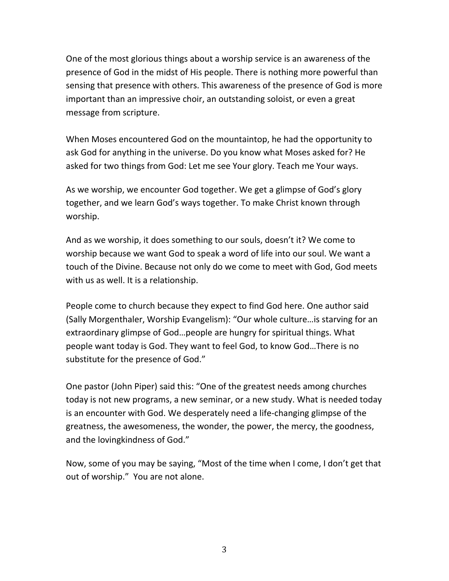One of the most glorious things about a worship service is an awareness of the presence of God in the midst of His people. There is nothing more powerful than sensing that presence with others. This awareness of the presence of God is more important than an impressive choir, an outstanding soloist, or even a great message from scripture.

When Moses encountered God on the mountaintop, he had the opportunity to ask God for anything in the universe. Do you know what Moses asked for? He asked for two things from God: Let me see Your glory. Teach me Your ways.

As we worship, we encounter God together. We get a glimpse of God's glory together, and we learn God's ways together. To make Christ known through worship.

And as we worship, it does something to our souls, doesn't it? We come to worship because we want God to speak a word of life into our soul. We want a touch of the Divine. Because not only do we come to meet with God, God meets with us as well. It is a relationship.

People come to church because they expect to find God here. One author said (Sally Morgenthaler, Worship Evangelism): "Our whole culture…is starving for an extraordinary glimpse of God…people are hungry for spiritual things. What people want today is God. They want to feel God, to know God…There is no substitute for the presence of God."

One pastor (John Piper) said this: "One of the greatest needs among churches today is not new programs, a new seminar, or a new study. What is needed today is an encounter with God. We desperately need a life-changing glimpse of the greatness, the awesomeness, the wonder, the power, the mercy, the goodness, and the lovingkindness of God."

Now, some of you may be saying, "Most of the time when I come, I don't get that out of worship." You are not alone.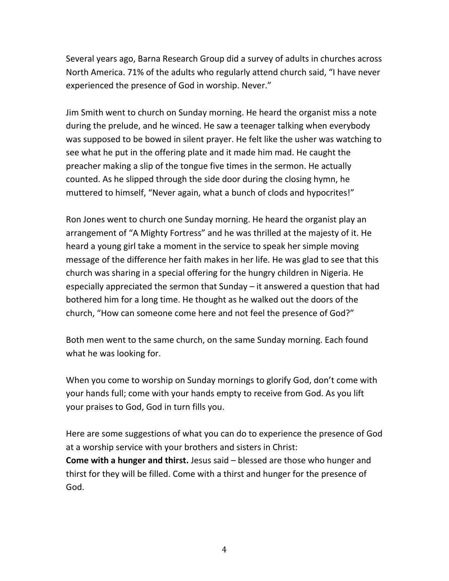Several years ago, Barna Research Group did a survey of adults in churches across North America. 71% of the adults who regularly attend church said, "I have never experienced the presence of God in worship. Never."

Jim Smith went to church on Sunday morning. He heard the organist miss a note during the prelude, and he winced. He saw a teenager talking when everybody was supposed to be bowed in silent prayer. He felt like the usher was watching to see what he put in the offering plate and it made him mad. He caught the preacher making a slip of the tongue five times in the sermon. He actually counted. As he slipped through the side door during the closing hymn, he muttered to himself, "Never again, what a bunch of clods and hypocrites!"

Ron Jones went to church one Sunday morning. He heard the organist play an arrangement of "A Mighty Fortress" and he was thrilled at the majesty of it. He heard a young girl take a moment in the service to speak her simple moving message of the difference her faith makes in her life. He was glad to see that this church was sharing in a special offering for the hungry children in Nigeria. He especially appreciated the sermon that Sunday – it answered a question that had bothered him for a long time. He thought as he walked out the doors of the church, "How can someone come here and not feel the presence of God?"

Both men went to the same church, on the same Sunday morning. Each found what he was looking for.

When you come to worship on Sunday mornings to glorify God, don't come with your hands full; come with your hands empty to receive from God. As you lift your praises to God, God in turn fills you.

Here are some suggestions of what you can do to experience the presence of God at a worship service with your brothers and sisters in Christ:

**Come with a hunger and thirst.** Jesus said – blessed are those who hunger and thirst for they will be filled. Come with a thirst and hunger for the presence of God.